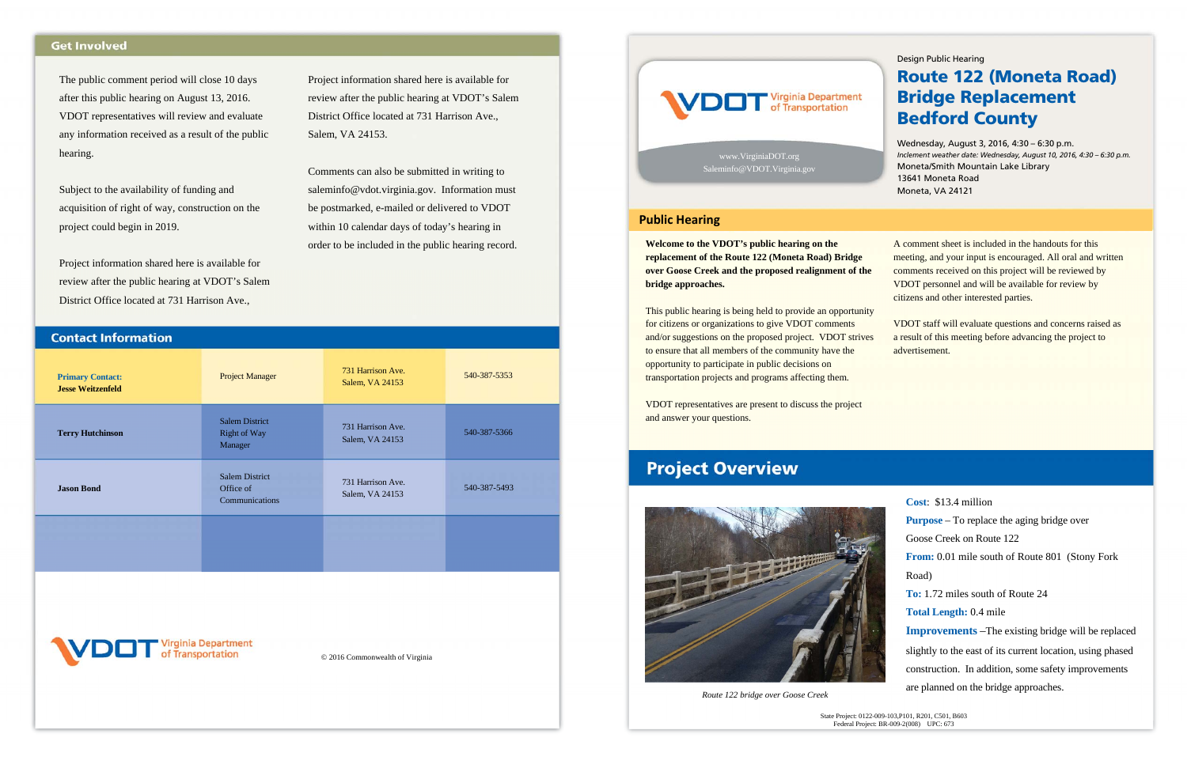Project information shared here is available for review after the public hearing at VDOT's Salem District Office located at 731 Harrison Ave., Salem, VA 24153.

Comments can also be submitted in writing to saleminfo@vdot.virginia.gov. Information must be postmarked, e-mailed or delivered to VDOT within 10 calendar days of today's hearing in order to be included in the public hearing record.



| <b>Primary Contact:</b><br><b>Jesse Weitzenfeld</b> | <b>Project Manager</b>                                  | 731 Harrison Ave.<br>Salem, VA 24153 | 540-387-5353 |
|-----------------------------------------------------|---------------------------------------------------------|--------------------------------------|--------------|
| <b>Terry Hutchinson</b>                             | <b>Salem District</b><br><b>Right of Way</b><br>Manager | 731 Harrison Ave.<br>Salem, VA 24153 | 540-387-5366 |
| <b>Jason Bond</b>                                   | <b>Salem District</b><br>Office of<br>Communications    | 731 Harrison Ave.<br>Salem, VA 24153 | 540-387-5493 |
|                                                     |                                                         |                                      |              |
| VDOT Virginia Department                            |                                                         |                                      |              |
| © 2016 Commonwealth of Virginia                     |                                                         |                                      |              |

## **Get Involved**

The public comment period will close 10 days after this public hearing on August 13, 2016. VDOT representatives will review and evaluate any information received as a result of the public hearing.

Subject to the availability of funding and acquisition of right of way, construction on the project could begin in 2019.

Project information shared here is available for review after the public hearing at VDOT's Salem District Office located at 731 Harrison Ave.,

**Contact Information** 

**Welcome to the VDOT's public hearing on the replacement of the Route 122 (Moneta Road) Bridge over Goose Creek and the proposed realignment of the bridge approaches.** 

This public hearing is being held to provide an opportunity for citizens or organizations to give VDOT comments and/or suggestions on the proposed project. VDOT strives to ensure that all members of the community have the opportunity to participate in public decisions on transportation projects and programs affecting them.

VDOT representatives are present to discuss the project and answer your questions.

# **Project Overview**



A comment sheet is included in the handouts for this meeting, and your input is encouraged. All oral and written comments received on this project will be reviewed by VDOT personnel and will be available for review by citizens and other interested parties.

VDOT staff will evaluate questions and concerns raised as a result of this meeting before advancing the project to advertisement.



**Cost**: \$13.4 million **Purpose** – To replace the aging bridge over Goose Creek on Route 122 **From:** 0.01 mile south of Route 801 (Stony Fork Road) **To:** 1.72 miles south of Route 24 **Total Length:** 0.4 mile **Improvements** –The existing bridge will be replaced slightly to the east of its current location, using phased construction. In addition, some safety improvements

are planned on the bridge approaches.

www.VirginiaDOT.org Saleminfo@VDOT.Virginia.gov

#### Design Public Hearing

# Route 122 (Moneta Road) Bridge Replacement Bedford County

Wednesday, August 3, 2016, 4:30 – 6:30 p.m. *Inclement weather date: Wednesday, August 10, 2016, 4:30 – 6:30 p.m.*  Moneta/Smith Mountain Lake Library 13641 Moneta Road Moneta, VA 24121

*Route 122 bridge over Goose Creek* 

#### **Public Hearing**